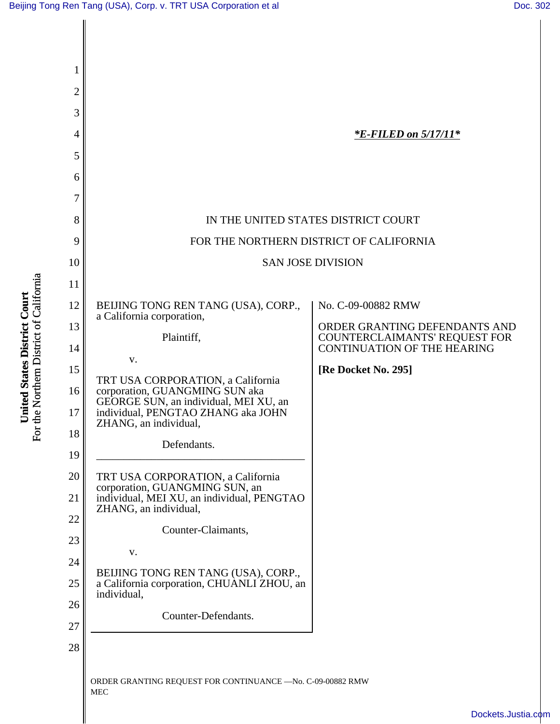| 1  |                                                                         |                                                                |
|----|-------------------------------------------------------------------------|----------------------------------------------------------------|
| 2  |                                                                         |                                                                |
| 3  |                                                                         |                                                                |
| 4  |                                                                         | <i><b>*E-FILED on 5/17/11*</b></i>                             |
| 5  |                                                                         |                                                                |
| 6  |                                                                         |                                                                |
| 7  |                                                                         |                                                                |
| 8  | IN THE UNITED STATES DISTRICT COURT                                     |                                                                |
| 9  | FOR THE NORTHERN DISTRICT OF CALIFORNIA                                 |                                                                |
| 10 | <b>SAN JOSE DIVISION</b>                                                |                                                                |
| 11 |                                                                         |                                                                |
| 12 | BEIJING TONG REN TANG (USA), CORP.,<br>a California corporation,        | No. C-09-00882 RMW                                             |
| 13 | Plaintiff,                                                              | ORDER GRANTING DEFENDANTS AND<br>COUNTERCLAIMANTS' REQUEST FOR |
| 14 | V.                                                                      | <b>CONTINUATION OF THE HEARING</b>                             |
| 15 | TRT USA CORPORATION, a California                                       | [Re Docket No. 295]                                            |
| 16 | corporation, GUANGMING SUN aka<br>GEORGE SUN, an individual, MEI XU, an |                                                                |
| 17 | individual, PENGTAO ZHANG aka JOHN<br>ZHANG, an individual,             |                                                                |
| 18 | Defendants.                                                             |                                                                |
| 19 |                                                                         |                                                                |
| 20 | TRT USA CORPORATION, a California<br>corporation, GUANGMING SUN, an     |                                                                |
| 21 | individual, MEI XU, an individual, PENGTAO<br>ZHANG, an individual,     |                                                                |
| 22 | Counter-Claimants,                                                      |                                                                |
| 23 | V.                                                                      |                                                                |
| 24 | BEIJING TONG REN TANG (USA), CORP.,                                     |                                                                |
| 25 | a California corporation, CHUANLI ZHOU, an<br>individual,               |                                                                |
| 26 | Counter-Defendants.                                                     |                                                                |
| 27 |                                                                         |                                                                |
| 28 |                                                                         |                                                                |
|    | ORDER GRANTING REQUEST FOR CONTINUANCE - No. C-09-00882 RMW             |                                                                |
|    | <b>MEC</b>                                                              |                                                                |

**United States District Court**<br>For the Northern District of California For the Northern District of California **United States District Court**

[Dockets.Justia.com](http://dockets.justia.com/)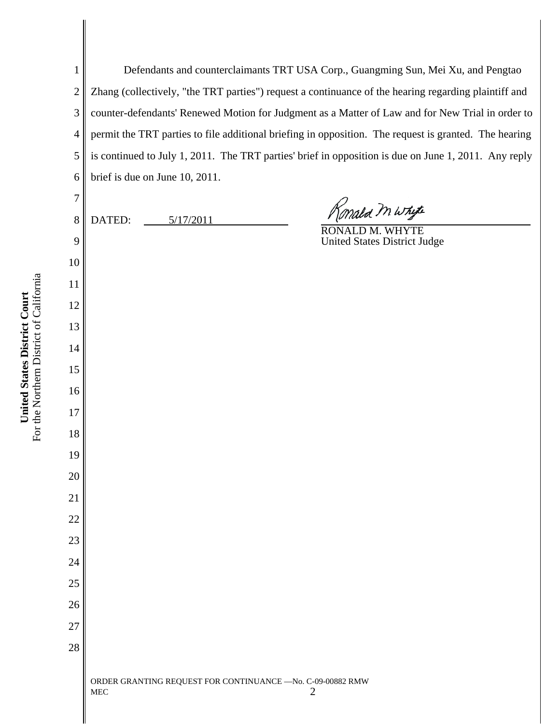Zhang (collectively, "the TRT parties") request a continuance of the hearing regarding plaintiff and counter-defendants' Renewed Motion for Judgment as a Matter of Law and for New Trial in order to permit the TRT parties to file additional briefing in opposition. The request is granted. The hearing is continued to July 1, 2011. The TRT parties' brief in opposition is due on June 1, 2011. Any reply brief is due on June 10, 2011. )<br>Mala M Whyte DATED:  $5/17/2011$ RONALD M. WHYTE United States District Judge ORDER GRANTING REQUEST FOR CONTINUANCE —No. C-09-00882 RMW  $MEC$  2

Defendants and counterclaimants TRT USA Corp., Guangming Sun, Mei Xu, and Pengtao

For the Northern District of California For the Northern District of California United States District Court **United States District Court**